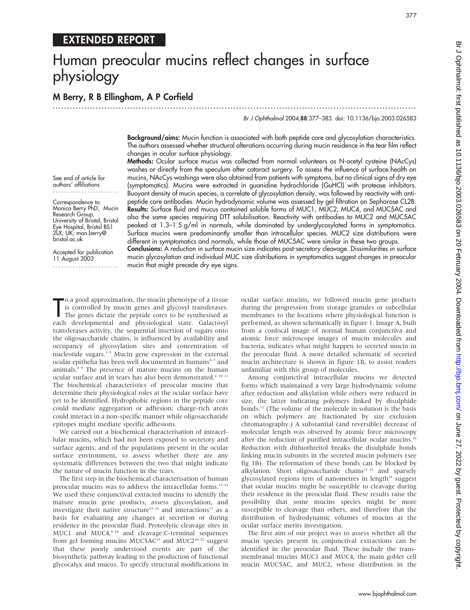# EXTENDED REPORT

# Human preocular mucins reflect changes in surface physiology

.............................................................................................................................. .

M Berry, R B Ellingham, A P Corfield

Br J Ophthalmol 2004;88:377–383. doi: 10.1136/bjo.2003.026583

Background/aims: Mucin function is associated with both peptide core and glycosylation characteristics. The authors assessed whether structural alterations occurring during mucin residence in the tear film reflect changes in ocular surface physiology.

See end of article for authors' affiliations .......................

Correspondence to: Monica Berry PhD, Mucin Research Group, University of Bristol, Bristol Eye Hospital, Bristol BS1 2LX, UK; mon.berry@ bristol.ac.uk

Accepted for publication 11 August 2003 ....................... Methods: Ocular surface mucus was collected from normal volunteers as N-acetyl cysteine (NAcCys) washes or directly from the speculum after cataract surgery. To assess the influence of surface health on mucins, NAcCys washings were also obtained from patients with symptoms, but no clinical signs of dry eye (symptomatics). Mucins were extracted in guanidine hydrochloride (GuHCl) with protease inhibitors. Buoyant density of mucin species, a correlate of glycosylation density, was followed by reactivity with antipeptide core antibodies. Mucin hydrodynamic volume was assessed by gel filtration on Sepharose CL2B. Results: Surface fluid and mucus contained soluble forms of MUC1, MUC2, MUC4, and MUC5AC and also the same species requiring DTT solubilisation. Reactivity with antibodies to MUC2 and MUC5AC peaked at 1.3–1.5 g/ml in normals, while dominated by underglycosylated forms in symptomatics. Surface mucins were predominantly smaller than intracellular species. MUC2 size distributions were different in symptomatics and normals, while those of MUC5AC were similar in these two groups.

Conclusions: A reduction in surface mucin size indicates post-secretory cleavage. Dissimilarities in surface mucin glycosylation and individual MUC size distributions in symptomatics suggest changes in preocular mucin that might precede dry eye signs.

To a good approximation, the mucin phenotype of a tissue<br>
is controlled by mucin genes and glycosyl transferases.<br>
The genes dictate the peptide cores to be synthesised at o a good approximation, the mucin phenotype of a tissue is controlled by mucin genes and glycosyl transferases. each developmental and physiological state. Galactosyl transferases activity, the sequential insertion of sugars onto the oligosaccharide chains, is influenced by availability and occupancy of glycosylation sites and concentration of nucleotide sugars.1–3 Mucin gene expression in the external ocular epithelia has been well documented in humans<sup>4-7</sup> and animals.8 9 The presence of mature mucins on the human ocular surface and in tears has also been demonstrated.<sup>6 10 11</sup> The biochemical characteristics of preocular mucins that determine their physiological roles at the ocular surface have yet to be identified. Hydrophobic regions in the peptide core could mediate aggregation or adhesion; charge-rich areas could interact in a non-specific manner while oligosaccharide epitopes might mediate specific adhesions.

We carried out a biochemical characterisation of intracellular mucins, which had not been exposed to secretory and surface agents, and of the populations present in the ocular surface environment, to assess whether there are any systematic differences between the two that might indicate the nature of mucin function in the tears.

The first step in the biochemical characterisation of human preocular mucins was to address the intracellular forms.<sup>12-14</sup> We used these conjunctival extracted mucins to identify the mature mucin gene products, assess glycosylation, and investigate their native structure<sup>15 16</sup> and interactions<sup>17</sup> as a basis for evaluating any changes at secretion or during residence in the preocular fluid. Proteolytic cleavage sites in MUC1 and MUC4,<sup>8 18</sup> and cleavage:C-terminal sequences from gel forming mucins MUC5AC<sup>19</sup> and MUC2<sup>20-22</sup> suggest that these poorly understood events are part of the biosynthetic pathway leading to the production of functional glycocalyx and mucus. To specify structural modifications in ocular surface mucins, we followed mucin gene products during the progression from storage granules or subcellular membranes to the locations where physiological function is performed, as shown schematically in figure 1. Image A, built from a confocal image of normal human conjunctiva and atomic force microscope images of mucin molecules and bacteria, indicates what might happen to secreted mucin in the preocular fluid. A more detailed schematic of secreted mucin architecture is shown in figure 1B, to assist readers unfamiliar with this group of molecules.

Among conjunctival intracellular mucins we detected forms which maintained a very large hydrodynamic volume after reduction and alkylation while others were reduced in size, the latter indicating polymers linked by disulphide bonds.13 (The volume of the molecule in solution is the basis on which polymers are fractionated by size exclusion chromatography.) A substantial (and reversible) decrease of molecular length was observed by atomic force microscopy after the reduction of purified intracellular ocular mucins.<sup>16</sup> Reduction with dithiothreitol breaks the disulphide bonds linking mucin subunits in the secreted mucin polymers (see fig 1B). The reformation of these bonds can be blocked by alkylation. Short oligosaccharide chains<sup>12 23</sup> and sparsely glycosylated regions tens of nanometres in length<sup>15</sup> suggest that ocular mucins might be susceptible to cleavage during their residence in the preocular fluid. These results raise the possibility that some mucins species might be more susceptible to cleavage than others, and therefore that the distribution of hydrodynamic volumes of mucins at the ocular surface merits investigation.

The first aim of our project was to assess whether all the mucin species present in conjunctival extractions can be identified in the preocular fluid. These include the transmembranal mucins MUC1 and MUC4, the main goblet cell mucin MUC5AC, and MUC2, whose distribution in the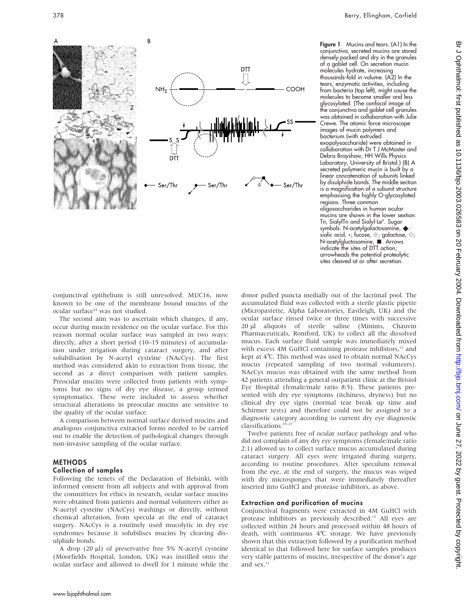

**Figure 1** Mucins and tears. (A1) In the conjunctiva, secreted mucins are stored densely packed and dry in the granules of a goblet cell. On secretion mucin molecules hydrate, increasing thousands-fold in volume. (A2) In the tears, enzymatic activities, including from bacteria (top left), might cause the molecules to become smaller and less glycosylated. (The confocal image of the conjunctiva and goblet cell granules was obtained in collaboration with Julie Crewe. The atomic force microscope images of mucin polymers and bacterium (with extruded exopolysaccharide) were obtained in collaboration with Dr T J McMaster and Debra Brayshaw, HH Wills Physics Laboratory, University of Bristol.) (B) A secreted polymeric mucin is built by c linear concatenation of subunits linked by disulphide bonds. The middle section is a magnification of a subunit structure emphasising the highly O-glycosylated regions. Three common oligosaccharides in human ocular mucins are shown in the lower sextion: Tn, SialylTn and Sialyl-Le<sup>x</sup>. Sugar symbols: N-acetylgalactosamine,  $\blacklozenge$ sialic acid, \*; fucose,  $\diamondsuit$ ; galactose,  $\diamondsuit$ ; N-acetylgluctosamine, ■. Arrows indicate the sites of DTT action; arrowheads the potential proteolytic sites cleaved at or after secretion.

conjunctival epithelium is still unresolved. MUC16, now known to be one of the membrane bound mucins of the ocular surface<sup>24</sup> was not studied.

The second aim was to ascertain which changes, if any, occur during mucin residence on the ocular surface. For this reason normal ocular surface was sampled in two ways: directly, after a short period (10–15 minutes) of accumulation under irrigation during cataract surgery, and after solubilisation by N-acetyl cysteine (NAcCys). The first method was considered akin to extraction from tissue, the second as a direct comparison with patient samples. Preocular mucins were collected from patients with symptoms but no signs of dry eye disease, a group termed symptomatics. These were included to assess whether structural alterations in preocular mucins are sensitive to the quality of the ocular surface.

A comparison between normal surface derived mucins and analogous conjunctiva extracted forms needed to be carried out to enable the detection of pathological changes through non-invasive sampling of the ocular surface.

## **METHODS**

#### Collection of samples

Following the tenets of the Declaration of Helsinki, with informed consent from all subjects and with approval from the committees for ethics in research, ocular surface mucins were obtained from patients and normal volunteers either as N-acetyl cysteine (NAcCys) washings or directly, without chemical alteration, from specula at the end of cataract surgery. NAcCys is a routinely used mucolytic in dry eye syndromes because it solubilises mucins by cleaving disulphide bonds.

A drop (20 µl) of preservative free 5% N-acetyl cysteine (Moorfields Hospital, London, UK) was instilled onto the ocular surface and allowed to dwell for 1 minute while the donor pulled puncta medially out of the lacrimal pool. The accumulated fluid was collected with a sterile plastic pipette (Micropastette, Alpha Laboratories, Eastleigh, UK) and the ocular surface rinsed twice or three times with successive 20 µl aliquots of sterile saline (Minims, Chauvin Pharmaceuticals, Romford, UK) to collect all the dissolved mucus. Each surface fluid sample was immediately mixed with excess 4M GuHCl containing protease inhibitors, $12$  and kept at 4˚C. This method was used to obtain normal NAcCys mucus (repeated sampling of two normal volunteers). NAcCys mucus was obtained with the same method from 42 patients attending a general outpatient clinic at the Bristol Eye Hospital (female/male ratio 8:5). These patients presented with dry eye symptoms (itchiness, dryness) but no clinical dry eye signs (normal tear break up time and Schirmer tests) and therefore could not be assigned to a diagnostic category according to current dry eye diagnostic classifications.25–27

Twelve patients free of ocular surface pathology and who did not complain of any dry eye symptoms (female/male ratio 2:1) allowed us to collect surface mucus accumulated during cataract surgery. All eyes were irrigated during surgery, according to routine procedures. After speculum removal from the eye, at the end of surgery, the mucus was wiped with dry microsponges that were immediately thereafter inserted into GuHCl and protease inhibitors, as above.

#### Extraction and purification of mucins

Conjunctival fragments were extracted in 4M GuHCl with protease inhibitors as previously described.<sup>12</sup> All eyes are collected within 24 hours and processed within 48 hours of death, with continuous 4˚C storage. We have previously shown that this extraction followed by a purification method identical to that followed here for surface samples produces very stable patterns of mucins, irrespective of the donor's age and sex.<sup>12</sup>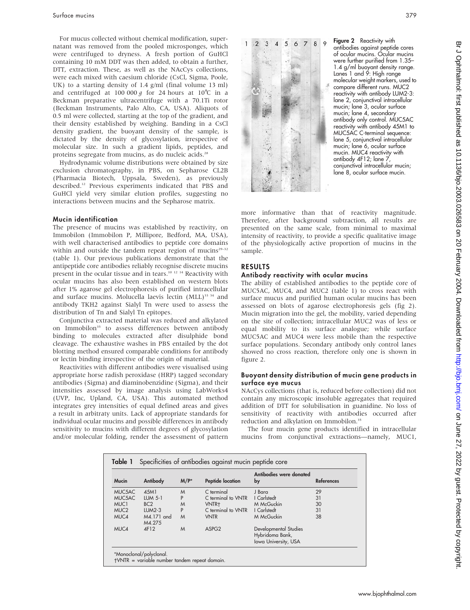For mucus collected without chemical modification, supernatant was removed from the pooled microsponges, which were centrifuged to dryness. A fresh portion of GuHCl containing 10 mM DDT was then added, to obtain a further, DTT, extraction. These, as well as the NAcCys collections, were each mixed with caesium chloride (CsCl, Sigma, Poole, UK) to a starting density of 1.4 g/ml (final volume 13 ml) and centrifuged at 100 000  $g$  for 24 hours at 10°C in a Beckman preparative ultracentrifuge with a 70.1Ti rotor (Beckman Instruments, Palo Alto, CA, USA). Aliquots of 0.5 ml were collected, starting at the top of the gradient, and their density established by weighing. Banding in a CsCl density gradient, the buoyant density of the sample, is dictated by the density of glycosylation, irrespective of molecular size. In such a gradient lipids, peptides, and proteins segregate from mucins, as do nucleic acids.<sup>28</sup>

Hydrodynamic volume distributions were obtained by size exclusion chromatography, in PBS, on Sepharose CL2B (Pharmacia Biotech, Uppsala, Sweden), as previously described.12 Previous experiments indicated that PBS and GuHCl yield very similar elution profiles, suggesting no interactions between mucins and the Sepharose matrix.

#### Mucin identification

The presence of mucins was established by reactivity, on Immobilon (Immobilon P, Millipore, Bedford, MA, USA), with well characterised antibodies to peptide core domains within and outside the tandem repeat region of mucins $29-32$ (table 1). Our previous publications demonstrate that the antipeptide core antibodies reliably recognise discrete mucins present in the ocular tissue and in tears.10 12 14 Reactivity with ocular mucins has also been established on western blots after 1% agarose gel electrophoresis of purified intracellular and surface mucins. Molucella laevis lectin (MLL)<sup>33 34</sup> and antibody TKH2 against Sialyl Tn were used to assess the distribution of Tn and Sialyl Tn epitopes.

Conjunctiva extracted material was reduced and alkylated on Immobilon<sup>35</sup> to assess differences between antibody binding to molecules extracted after disulphide bond cleavage. The exhaustive washes in PBS entailed by the dot blotting method ensured comparable conditions for antibody or lectin binding irrespective of the origin of material.

Reactivities with different antibodies were visualised using appropriate horse radish peroxidase (HRP) tagged secondary antibodies (Sigma) and diaminobenzidine (Sigma), and their intensities assessed by image analysis using LabWorks4 (UVP, Inc, Upland, CA, USA). This automated method integrates grey intensities of equal defined areas and gives a result in arbitraty units. Lack of appropriate standards for individual ocular mucins and possible differences in antibody sensitivity to mucins with different degrees of glycosylation and/or molecular folding, render the assessment of pattern



Figure 2 Reactivity with antibodies against peptide cores of ocular mucins. Ocular mucins were further purified from 1.35– 1.4 g/ml buoyant density range. Lanes 1 and 9: High range molecular weight markers, used to compare different runs. MUC2 reactivity with antibody LUM2-3: lane 2, conjunctival intracellular mucin; lane 3, ocular surface mucin; lane 4, secondary antibody only control. MUC5AC reactivity with antibody 45M1 to MUC5AC C-terminal sequence: lane 5, conjunctival intracellular mucin; lane 6, ocular surface mucin. MUC4 reactivity with antibody 4F12; lane 7, conjunctival intracellular mucin; lane 8, ocular surface mucin.

more informative than that of reactivity magnitude. Therefore, after background subtraction, all results are presented on the same scale, from minimal to maximal intensity of reactivity, to provide a specific qualitative image of the physiologically active proportion of mucins in the sample.

### RESULTS

#### Antibody reactivity with ocular mucins

The ability of established antibodies to the peptide core of MUC5AC, MUC4, and MUC2 (table 1) to cross react with surface mucus and purified human ocular mucins has been assessed on blots of agarose electrophoresis gels (fig 2). Mucin migration into the gel, the mobility, varied depending on the site of collection; intracellular MUC2 was of less or equal mobility to its surface analogue; while surface MUC5AC and MUC4 were less mobile than the respective surface populations. Secondary antibody only control lanes showed no cross reaction, therefore only one is shown in figure 2.

#### Buoyant density distribution of mucin gene products in surface eye mucus

NAcCys collections (that is, reduced before collection) did not contain any microscopic insoluble aggregates that required addition of DTT for solubilisation in guanidine. No loss of sensitivity of reactivity with antibodies occurred after reduction and alkylation on Immobilon.<sup>35</sup>

The four mucin gene products identified in intracellular mucins from conjunctival extractions—namely, MUC1,

| <b>Mucin</b>        | Antibody             | $M/P^*$ | <b>Peptide location</b> | Antibodies were donated<br>by                                    | <b>References</b> |
|---------------------|----------------------|---------|-------------------------|------------------------------------------------------------------|-------------------|
| MUC5AC              | 45M1                 | M       | C terminal              | J Bara                                                           | 29                |
| MUC <sub>5</sub> AC | LUM 5-1              | P       | C terminal to VNTR      | I Carlstedt                                                      | 31                |
| MUC <sub>1</sub>    | BC2                  | M       | <b>VNTR+</b>            | M McGuckin                                                       | 30                |
| MUC <sub>2</sub>    | $LUM2-3$             | P       | C terminal to VNTR      | I Carlstedt                                                      | 31                |
| MUC4                | M4.171 and<br>M4.275 | M       | <b>VNTR</b>             | M McGuckin                                                       | 38                |
| MUC4                | 4F12                 | M       | ASPG <sub>2</sub>       | Developmental Studies<br>Hybridoma Bank,<br>Iowa University, USA |                   |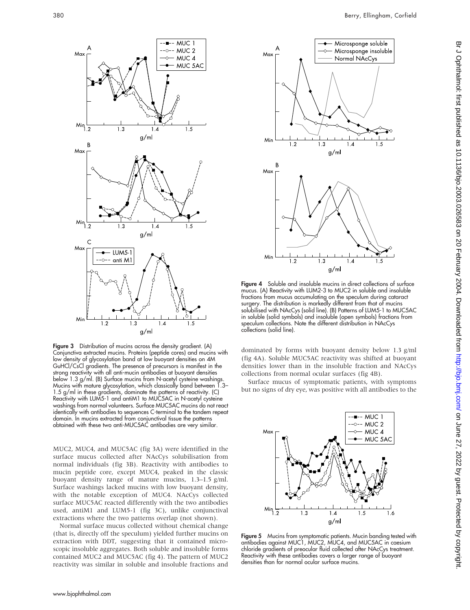

Figure 3 Distribution of mucins across the density gradient. (A) Conjunctiva extracted mucins. Proteins (peptide cores) and mucins with low density of glycosylation band at low buoyant densities on 4M GuHCl/CsCl gradients. The presence of precursors is manifest in the strong reactivity with all anti-mucin antibodies at buoyant densities below 1.3 g/ml. (B) Surface mucins from N-acetyl cysteine washings. Mucins with mature glycosylation, which classically band between 1.3– 1.5 g/ml in these gradients, dominate the patterns of reactivity. (C) Reactivity with LUM5-1 and antiM1 to MUC5AC in N-acetyl cysteine washings from normal volunteers. Surface MUC5AC mucins do not react identically with antibodies to sequences C-terminal to the tandem repeat domain. In mucins extracted from conjunctival tissue the patterns obtained with these two anti-MUC5AC antibodies are very similar.

MUC2, MUC4, and MUC5AC (fig 3A) were identified in the surface mucus collected after NAcCys solubilisation from normal individuals (fig 3B). Reactivity with antibodies to mucin peptide core, except MUC4, peaked in the classic buoyant density range of mature mucins, 1.3–1.5 g/ml. Surface washings lacked mucins with low buoyant density, with the notable exception of MUC4. NAcCys collected surface MUC5AC reacted differently with the two antibodies used, antiM1 and LUM5-1 (fig 3C), unlike conjunctival extractions where the two patterns overlap (not shown).

Normal surface mucus collected without chemical change (that is, directly off the speculum) yielded further mucins on extraction with DDT, suggesting that it contained microscopic insoluble aggregates. Both soluble and insoluble forms contained MUC2 and MUC5AC (fig 4). The pattern of MUC2 reactivity was similar in soluble and insoluble fractions and



Figure 4 Soluble and insoluble mucins in direct collections of surface mucus. (A) Reactivity with LUM2-3 to MUC2 in soluble and insoluble fractions from mucus accumulating on the speculum during cataract surgery. The distribution is markedly different from that of mucins solubilised with NAcCys (solid line). (B) Patterns of LUM5-1 to MUC5AC in soluble (solid symbols) and insoluble (open symbols) fractions from speculum collections. Note the different distribution in NAcCys collections (solid line).

dominated by forms with buoyant density below 1.3 g/ml (fig 4A). Soluble MUC5AC reactivity was shifted at buoyant densities lower than in the insoluble fraction and NAcCys collections from normal ocular surfaces (fig 4B).

Surface mucus of symptomatic patients, with symptoms but no signs of dry eye, was positive with all antibodies to the



Figure 5 Mucins from symptomatic patients. Mucin banding tested with antibodies against MUC1, MUC2, MUC4, and MUC5AC in caesium chloride gradients of preocular fluid collected after NAcCys treatment. Reactivity with these antibodies covers a larger range of buoyant densities than for normal ocular surface mucins.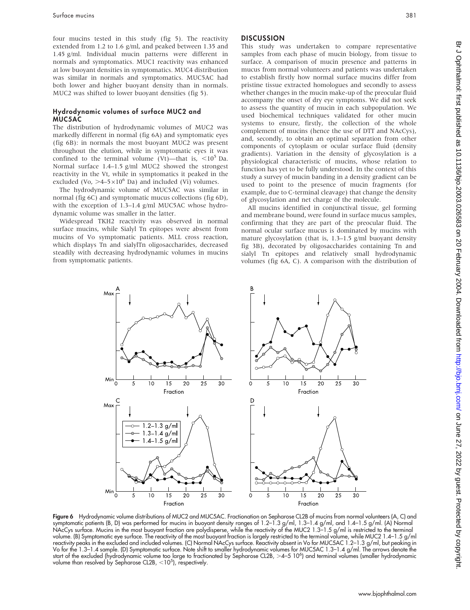four mucins tested in this study (fig 5). The reactivity extended from 1.2 to 1.6 g/ml, and peaked between 1.35 and 1.45 g/ml. Individual mucin patterns were different in normals and symptomatics. MUC1 reactivity was enhanced at low buoyant densities in symptomatics. MUC4 distribution was similar in normals and symptomatics. MUC5AC had both lower and higher buoyant density than in normals. MUC2 was shifted to lower buoyant densities (fig 5).

#### Hydrodynamic volumes of surface MUC2 and MUC5AC

The distribution of hydrodynamic volumes of MUC2 was markedly different in normal (fig 6A) and symptomatic eyes (fig 6B): in normals the most buoyant MUC2 was present throughout the elution, while in symptomatic eyes it was confined to the terminal volume (Vt)—that is,  $\langle 10^5$  Da. Normal surface 1.4–1.5 g/ml MUC2 showed the strongest reactivity in the Vt, while in symptomatics it peaked in the excluded (Vo,  $>4-5\times10^6$  Da) and included (Vi) volumes.

The hydrodynamic volume of MUC5AC was similar in normal (fig 6C) and symptomatic mucus collections (fig 6D), with the exception of 1.3–1.4 g/ml MUC5AC whose hydrodynamic volume was smaller in the latter.

Widespread TKH2 reactivity was observed in normal surface mucins, while Sialyl Tn epitopes were absent from mucins of Vo symptomatic patients. MLL cross reaction, which displays Tn and sialylTn oligosaccharides, decreased steadily with decreasing hydrodynamic volumes in mucins from symptomatic patients.

#### **DISCUSSION**

This study was undertaken to compare representative samples from each phase of mucin biology, from tissue to surface. A comparison of mucin presence and patterns in mucus from normal volunteers and patients was undertaken to establish firstly how normal surface mucins differ from pristine tissue extracted homologues and secondly to assess whether changes in the mucin make-up of the preocular fluid accompany the onset of dry eye symptoms. We did not seek to assess the quantity of mucin in each subpopulation. We used biochemical techniques validated for other mucin systems to ensure, firstly, the collection of the whole complement of mucins (hence the use of DTT and NAcCys), and, secondly, to obtain an optimal separation from other components of cytoplasm or ocular surface fluid (density gradients). Variation in the density of glycosylation is a physiological characteristic of mucins, whose relation to function has yet to be fully understood. In the context of this study a survey of mucin banding in a density gradient can be used to point to the presence of mucin fragments (for example, due to C-terminal cleavage) that change the density of glycosylation and net charge of the molecule.

All mucins identified in conjunctival tissue, gel forming and membrane bound, were found in surface mucus samples, confirming that they are part of the preocular fluid. The normal ocular surface mucus is dominated by mucins with mature glycosylation (that is, 1.3–1.5 g/ml buoyant density fig 3B), decorated by oligosaccharides containing Tn and sialyl Tn epitopes and relatively small hydrodynamic volumes (fig 6A, C). A comparison with the distribution of



Figure 6 Hydrodynamic volume distributions of MUC2 and MUC5AC. Fractionation on Sepharose CL2B of mucins from normal volunteers (A, C) and symptomatic patients (B, D) was performed for mucins in buoyant density ranges of 1.2–1.3 g/ml, 1.3–1.4 g/ml, and 1.4–1.5 g/ml. (A) Normal NAcCys surface. Mucins in the most buoyant fraction are polydisperse, while the reactivity of the MUC2 1.3–1.5 g/ml is restricted to the terminal volume. (B) Symptomatic eye surface. The reactivity of the most buoyant fraction is largely restricted to the terminal volume, while MUC2 1.4–1.5 g/ml reactivity peaks in the excluded and included volumes. (C) Normal NAcCys surface. Reactivity absent in Vo for MUC5AC 1.2–1.3 g/ml, but peaking in Vo for the 1.3–1.4 sample. (D) Symptomatic surface. Note shift to smaller hydrodynamic volumes for MUC5AC 1.3–1.4 g/ml. The arrows denote the start of the excluded (hydrodynamic volume too large to fractionated by Sepharose CL2B, >4–5 10<sup>6</sup>) and terminal volumes (smaller hydrodynamic volume than resolved by Sepharose CL2B,  $<$ 10<sup>5</sup>), respectively.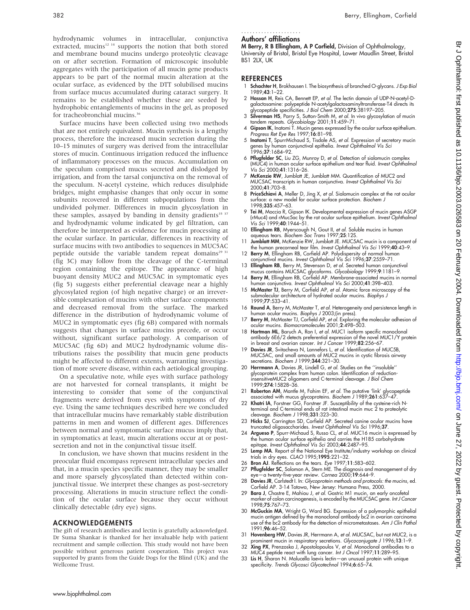hydrodynamic volumes in intracellular, conjunctiva extracted, mucins<sup>12 14</sup> supports the notion that both stored and membrane bound mucins undergo proteolytic cleavage on or after secretion. Formation of microscopic insoluble aggregates with the participation of all mucin gene products appears to be part of the normal mucin alteration at the ocular surface, as evidenced by the DTT solubilised mucins from surface mucus accumulated during cataract surgery. It remains to be established whether these are seeded by hydrophobic entanglements of mucins in the gel, as proposed for tracheobronchial mucins.<sup>36</sup>

Surface mucins have been collected using two methods that are not entirely equivalent. Mucin synthesis is a lengthy process, therefore the increased mucin secretion during the 10–15 minutes of surgery was derived from the intracellular stores of mucin. Continuous irrigation reduced the influence of inflammatory processes on the mucus. Accumulation on the speculum comprised mucus secreted and dislodged by irrigation, and from the tarsal conjunctiva on the removal of the speculum. N-acetyl cysteine, which reduces disulphide bridges, might emphasise changes that only occur in some subunits recovered in different subpopulations from the undivided polymer. Differences in mucin glycosylation in these samples, assayed by banding in density gradients<sup>35 37</sup> and hydrodynamic volume indicated by gel filtration, can therefore be interpreted as evidence for mucin processing at the ocular surface. In particular, differences in reactivity of surface mucins with two antibodies to sequences in MUC5AC peptide outside the variable tandem repeat domains<sup>29 31</sup> (fig 3C) may follow from the cleavage of the C-terminal region containing the epitope. The appearance of high buoyant density MUC2 and MUC5AC in symptomatic eyes (fig 5) suggests either preferential cleavage near a highly glycosylated region (of high negative charge) or an irreversible complexation of mucins with other surface components and decreased removal from the surface. The marked difference in the distribution of hydrodynamic volume of MUC2 in symptomatic eyes (fig 6B) compared with normals suggests that changes in surface mucins precede, or occur without, significant surface pathology. A comparison of MUC5AC (fig 6D) and MUC2 hydrodynamic volume distributions raises the possibility that mucin gene products might be affected to different extents, warranting investigation of more severe disease, within each aetiological grouping.

On a speculative note, while eyes with surface pathology are not harvested for corneal transplants, it might be interesting to consider that some of the conjunctival fragments were derived from eyes with symptoms of dry eye. Using the same techniques described here we concluded that intracellular mucins have remarkably stable distribution patterns in men and women of different ages. Differences between normal and symptomatic surface mucus imply that, in symptomatics at least, mucin alterations occur at or postsecretion and not in the conjunctival tissue itself.

In conclusion, we have shown that mucins resident in the preocular fluid encompass represent intracellular species and that, in a mucin species specific manner, they may be smaller and more sparsely glycosylated than detected within conjunctival tissue. We interpret these changes as post-secretory processing. Alterations in mucin structure reflect the condition of the ocular surface because they occur without clinically detectable (dry eye) signs.

#### ACKNOWLEDGEMENTS

The gift of research antibodies and lectin is gratefully acknowledged. Dr Suma Shankar is thanked for her invaluable help with patient recruitment and sample collection. This study would not have been possible without generous patient cooperation. This project was supported by grants from the Guide Dogs for the Blind (UK) and the Wellcome Trust.

#### Authors' affiliations .....................

M Berry, R B Ellingham, A P Corfield, Division of Ophthalmology, University of Bristol, Bristol Eye Hospital, Lower Maudlin Street, Bristol BS1 2LX, UK

#### **REFERENCES**

- Schachter H, Brokhausen I. The biosynthesis of branched O-glycans. J Exp Biol 1989;43:1–22.
- 2 Hassan H, Reis CA, Bennett EP, et al. The lectin domain of UDP-N-acetyl-Dgalactosamine: polypeptide N-acetylgalactosaminyltransferase-T4 directs its ycopeptide specificities. J Biol Chem 2000;275:38197-205.
- 3 Silverman HS, Parry S, Sutton-Smith M, et al. In vivo glycosylation of mucin tandem repeats. Glycobiology 2001;11:459–71.
- 4 Gipson IK, Inatomi T. Mucin genes expressed by the ocular surface epithelium. Progress Ret Eye Res 1997;16:81-98.
- 5 Inatomi T, SpurrMichaud S, Tisdale AS, et al. Expression of secretory mucin genes by human conjunctival epithelia. Invest Ophthalmol Vis Sci 1996;37:1684–92.
- 6 Pflugfelder SC, Liu ZG, Munroy D, et al. Detection of sialomucin complex (MUC4) in human ocular surface epithelium and tear fluid. Invest Ophthalmol Vis Sci 2000;41:1316–26.
- 7 McKenzie RW, Jumblatt JE, Jumblatt MM. Quantification of MUC2 and MUC5AC transcripts in human conjunctiva. Invest Ophthalmol Vis Sci 2000;41:703–8.
- 8 PriceSchiavi A, Meller D, Jing X, et al. Sialomucin complex at the rat ocular surface: a new model for ocular surface protection. Biochem J 1998;335:457–63.
- 9 Tei M, Moccia R, Gipson IK. Developmental expression of mucin genes ASGP (rMuc4) and rMuc5ac by the rat ocular surface epithelium. Invest Ophthalmol Vis Sci 1999;40:1944–51.
- 10 Ellingham RB, Myerscough N, Gout II, et al. Soluble mucins in human aqueous tears. Biochem Soc Trans 1997;25:12S.
- 11 Jumblatt MM, McKenzie RW, Jumblatt JE. MUC5AC mucin is a component of the human precorneal tear film. Invest Ophthalmol Vis Sci 1999;40:43–9.
- 12 Berry M, Ellingham RB, Corfield AP. Polydispersity of normal human onjunctival mucins. Invest Ophthalmol Vis Sci 1996;37:2559-71.
- 13 Ellingham RB, Berry M, Stevenson D, et al. Secreted human conjunctival mucus contains MUC5AC glycoforms. Glycobiology 1999;9:1181–9. 14 Berry M, Ellingham RB, Corfield AP. Membrane-associated mucins in normal
- 
- human conjunctiva. Invest Ophthalmol Vis Sci 2000;41:398–403.<br>15 **McMaster TJ**, Berry M, Corfield AP, *et al.* Atomic force microscopy of the<br>submolecular architecture of hydrated ocular mucins. Biophys J 1999;77:533–41.
- 16 Round A, Berry M, McMaster T, et al. Heterogeneity and persistence length in human ocular mucins. Biophys J 2003;(in press).
- 17 Berry M, McMaster TJ, Corfield AP, et al. Exploring the molecular adhesion of ocular mucins. Biomacromolecules 2001;2:498–503.
- 18 Hartman ML, Baruch A, Ron I, et al. MUC1 isoform specific monoclonal antibody 6E6/2 detects preferential expression of the novel MUC1/Y protein in breast and ovarian cancer. Int J Cancer 1999;82:256–67.
- 19 Davies JR, Svitacheva N, Lannefors L, et al. Identification of MUC5B, MUC5AC, and small amounts of MUC2 mucins in cystic fibrosis airway secretions. Biochem J 1999;344:321-30.
- 20 Herrmann A, Davies JR, Lindell G, et al. Studies on the "insoluble" glycoprotein complex from human colon. Identification of reductioninsensitiveMUC2 oligomers and C-terminal cleavage. J Biol Chem 1999;274:15828–36.
- 21 Roberton AM, Mantle M, Fahim EF, et al. The putative 'link' glycopeptide associated with mucus glycoproteins. Biochem J 1989;261:637–47.
- 22 Khatri IA, Forstner GG, Forstner JF. Susceptibility of the cysteine-rich N-terminal and C-terminal ends of rat intestinal mucin muc 2 to proteolytic cleavage. Biochem J 1998;331:323–30.
- 23 Hicks SJ, Carrington SD, Corfield AP. Secreted canine ocular mucins have truncated oligosaccharides. Invest Ophthalmol Vis Sci 1996;37.
- 24 Argueso P, Spurr-Michaud S, Russo CL, et al. MUC16 mucin is expressed by the human ocular surface epithelia and carries the H185 carbohydrate epitope. Invest Ophthalmol Vis Sci 2003;44:2487-95.
- 25 Lemp MA. Report of the National Eye Institute/industry workshop on clinical trials in dry eyes. CLAO 1995;1995:221–32.
- 26 Bron AJ. Reflections on the tears. Eye 1997;11:583–602.
- 27 Pflugfelder SC, Solomon A, Stern ME. The diagnosis and management of dry a twenty-five-year review. Cornea 2000;19:644-9.
- 28 Davies JR, Carlstedt I. In: Glycoprotein methods and protocols: the mucins, ed. Corfield AP. 3-14 Totowa, New Jersey: Humana Press, 2000.
- 29 Bara J, Chastre E, Mahiou J, et al. Gastric M1 mucin, an early oncofetal marker of colon carcinogenesis, is encoded by the MUC5AC gene. Int J Cancer 1998;75:767–73.
- 30 McGuckin MA, Wright G, Ward BG. Expression of a polymorphic epithelial<br>mucin antigen defined by the monoclonal antibody bc2 in ovarian carcinome<br>use of the bc2 antibody for the detection of micrometastases. Am J Clin P 1991;96:46–52.
- 31 Hovenberg HW, Davies JR, Herrmann A, et al. MUC5AC, but not MUC2, is a prominent mucin in respiratory secretions. Glycoconjugate J 1996;13:1-9.
- Xing PX, Prenzoska J, Apostolopoulos V, et al. Monoclonal antibodies to a MUC4 peptide react with lung cancer. Int J Oncol 1997;11:289–95.
- 33 Lis H, Sharon N. Molucella laevis lectin—an unusual protein with unique specificity. Trends Glycosci Glycotechnol 1994;6:65–74.